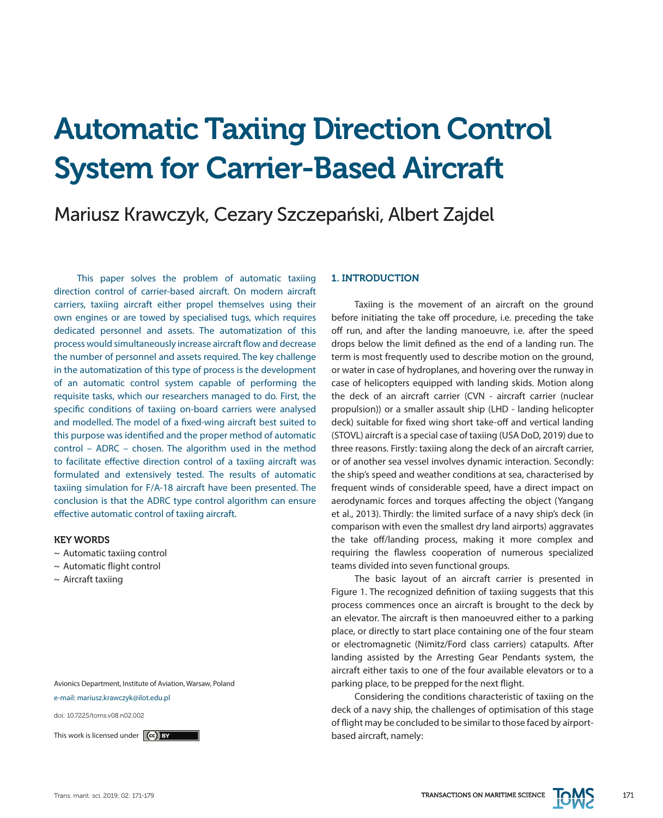# Automatic Taxiing Direction Control System for Carrier-Based Aircraft

# Mariusz Krawczyk, Cezary Szczepański, Albert Zajdel

This paper solves the problem of automatic taxiing direction control of carrier-based aircraft. On modern aircraft carriers, taxiing aircraft either propel themselves using their own engines or are towed by specialised tugs, which requires dedicated personnel and assets. The automatization of this process would simultaneously increase aircraft flow and decrease the number of personnel and assets required. The key challenge in the automatization of this type of process is the development of an automatic control system capable of performing the requisite tasks, which our researchers managed to do. First, the specific conditions of taxiing on-board carriers were analysed and modelled. The model of a fixed-wing aircraft best suited to this purpose was identified and the proper method of automatic control – ADRC – chosen. The algorithm used in the method to facilitate effective direction control of a taxiing aircraft was formulated and extensively tested. The results of automatic taxiing simulation for F/A-18 aircraft have been presented. The conclusion is that the ADRC type control algorithm can ensure effective automatic control of taxiing aircraft.

#### KEY WORDS

- ~ Automatic taxiing control
- ~ Automatic flight control
- $\sim$  Aircraft taxiing

Avionics Department, Institute of Aviation, Warsaw, Poland e-mail: mariusz.krawczyk@ilot.edu.pl

doi: 10.7225/toms.v08.n02.002

#### 1. INTRODUCTION

Taxiing is the movement of an aircraft on the ground before initiating the take off procedure, i.e. preceding the take off run, and after the landing manoeuvre, i.e. after the speed drops below the limit defined as the end of a landing run. The term is most frequently used to describe motion on the ground, or water in case of hydroplanes, and hovering over the runway in case of helicopters equipped with landing skids. Motion along the deck of an aircraft carrier (CVN - aircraft carrier (nuclear propulsion)) or a smaller assault ship (LHD - landing helicopter deck) suitable for fixed wing short take-off and vertical landing (STOVL) aircraft is a special case of taxiing (USA DoD, 2019) due to three reasons. Firstly: taxiing along the deck of an aircraft carrier, or of another sea vessel involves dynamic interaction. Secondly: the ship's speed and weather conditions at sea, characterised by frequent winds of considerable speed, have a direct impact on aerodynamic forces and torques affecting the object (Yangang et al., 2013). Thirdly: the limited surface of a navy ship's deck (in comparison with even the smallest dry land airports) aggravates the take off/landing process, making it more complex and requiring the flawless cooperation of numerous specialized teams divided into seven functional groups.

The basic layout of an aircraft carrier is presented in Figure 1. The recognized definition of taxiing suggests that this process commences once an aircraft is brought to the deck by an elevator. The aircraft is then manoeuvred either to a parking place, or directly to start place containing one of the four steam or electromagnetic (Nimitz/Ford class carriers) catapults. After landing assisted by the Arresting Gear Pendants system, the aircraft either taxis to one of the four available elevators or to a parking place, to be prepped for the next flight.

Considering the conditions characteristic of taxiing on the deck of a navy ship, the challenges of optimisation of this stage of flight may be concluded to be similar to those faced by airport-This work is licensed under **ce based aircraft**, namely: **based aircraft**, namely:

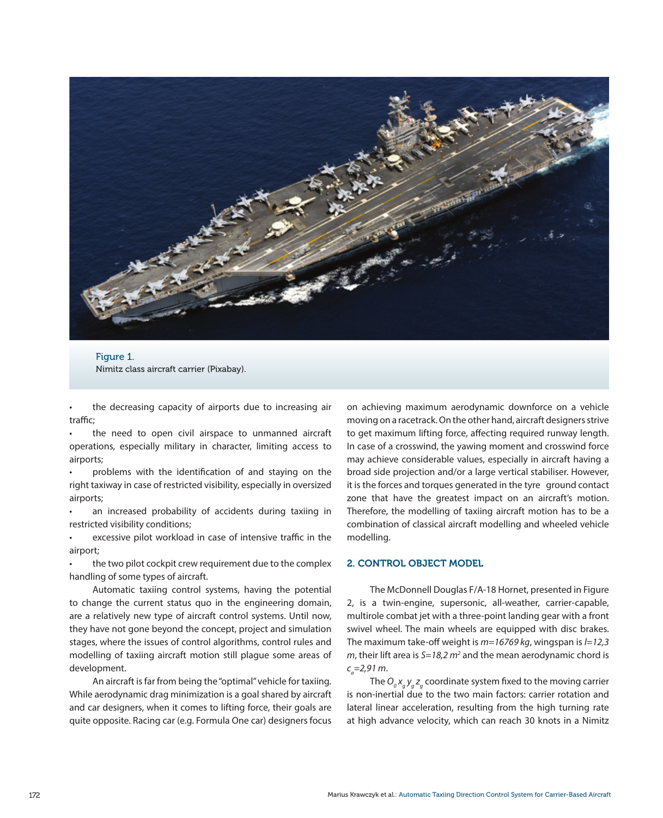

Figure 1. Nimitz class aircraft carrier (Pixabay).

the decreasing capacity of airports due to increasing air traffic;

the need to open civil airspace to unmanned aircraft operations, especially military in character, limiting access to airports;

problems with the identification of and staying on the right taxiway in case of restricted visibility, especially in oversized airports;

• an increased probability of accidents during taxiing in restricted visibility conditions;

excessive pilot workload in case of intensive traffic in the airport;

the two pilot cockpit crew requirement due to the complex handling of some types of aircraft.

Automatic taxiing control systems, having the potential to change the current status quo in the engineering domain, are a relatively new type of aircraft control systems. Until now, they have not gone beyond the concept, project and simulation stages, where the issues of control algorithms, control rules and modelling of taxiing aircraft motion still plague some areas of development.

An aircraft is far from being the "optimal" vehicle for taxiing. While aerodynamic drag minimization is a goal shared by aircraft and car designers, when it comes to lifting force, their goals are quite opposite. Racing car (e.g. Formula One car) designers focus

on achieving maximum aerodynamic downforce on a vehicle moving on a racetrack. On the other hand, aircraft designers strive to get maximum lifting force, affecting required runway length. In case of a crosswind, the yawing moment and crosswind force may achieve considerable values, especially in aircraft having a broad side projection and/or a large vertical stabiliser. However, it is the forces and torques generated in the tyre ground contact zone that have the greatest impact on an aircraft's motion. Therefore, the modelling of taxiing aircraft motion has to be a combination of classical aircraft modelling and wheeled vehicle modelling.

## 2. CONTROL OBJECT MODEL

The McDonnell Douglas F/A-18 Hornet, presented in Figure 2, is a twin-engine, supersonic, all-weather, carrier-capable, multirole combat jet with a three-point landing gear with a front swivel wheel. The main wheels are equipped with disc brakes. The maximum take-off weight is *m=16769 kg*, wingspan is *l=12,3 m*, their lift area is *S=18,2 m2* and the mean aerodynamic chord is *ca =2,91 m*.

The  $O_o x_g y_g z_g$  coordinate system fixed to the moving carrier is non-inertial due to the two main factors: carrier rotation and lateral linear acceleration, resulting from the high turning rate at high advance velocity, which can reach 30 knots in a Nimitz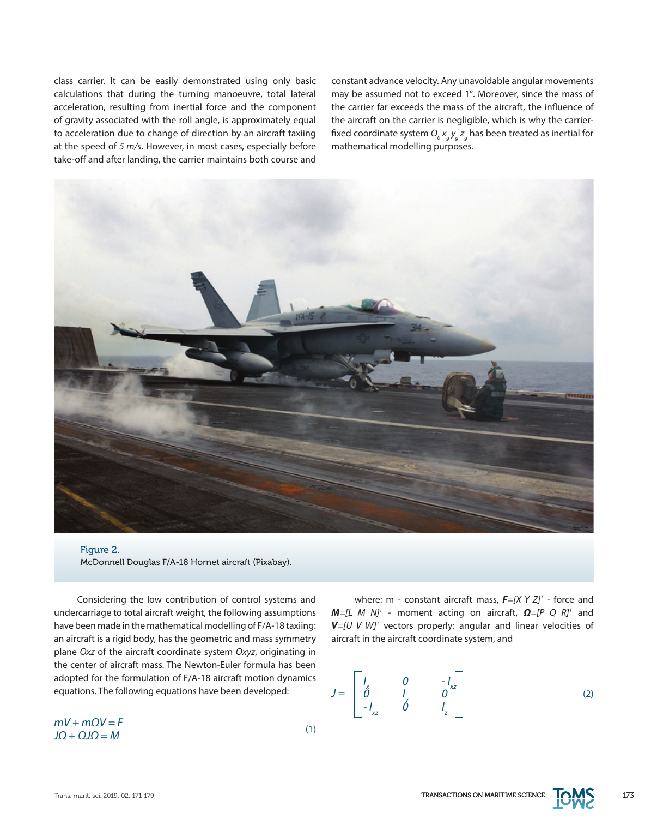class carrier. It can be easily demonstrated using only basic calculations that during the turning manoeuvre, total lateral acceleration, resulting from inertial force and the component of gravity associated with the roll angle, is approximately equal to acceleration due to change of direction by an aircraft taxiing at the speed of *5 m/s*. However, in most cases, especially before take-off and after landing, the carrier maintains both course and constant advance velocity. Any unavoidable angular movements may be assumed not to exceed 1°. Moreover, since the mass of the carrier far exceeds the mass of the aircraft, the influence of the aircraft on the carrier is negligible, which is why the carrierfixed coordinate system  $O_{_g}$ x<sub>g</sub> y<sub>g</sub> z<sub>g</sub> has been treated as inertial for mathematical modelling purposes.



#### Figure 2. McDonnell Douglas F/A-18 Hornet aircraft (Pixabay).

Considering the low contribution of control systems and undercarriage to total aircraft weight, the following assumptions have been made in the mathematical modelling of F/A-18 taxiing: an aircraft is a rigid body, has the geometric and mass symmetry plane *Oxz* of the aircraft coordinate system *Oxyz*, originating in the center of aircraft mass. The Newton-Euler formula has been adopted for the formulation of F/A-18 aircraft motion dynamics equations. The following equations have been developed:

 $mV + mQV = F$  (1) *JΩ + ΩJΩ = M*

where: m - constant aircraft mass,  $\mathbf{F} = [X \ Y \ Z]^T$  - force and *M*=[L *M N]<sup>T</sup>* - moment acting on aircraft, **Ω**=[P Q R]<sup>T</sup> and *V=[U V W]T* vectors properly: angular and linear velocities of aircraft in the aircraft coordinate system, and

$$
J = \begin{bmatrix} I_x & 0 & -I_{xz} \\ 0 & I_y & 0 \\ -I_{xz} & 0 & I_z \end{bmatrix}
$$
 (2)

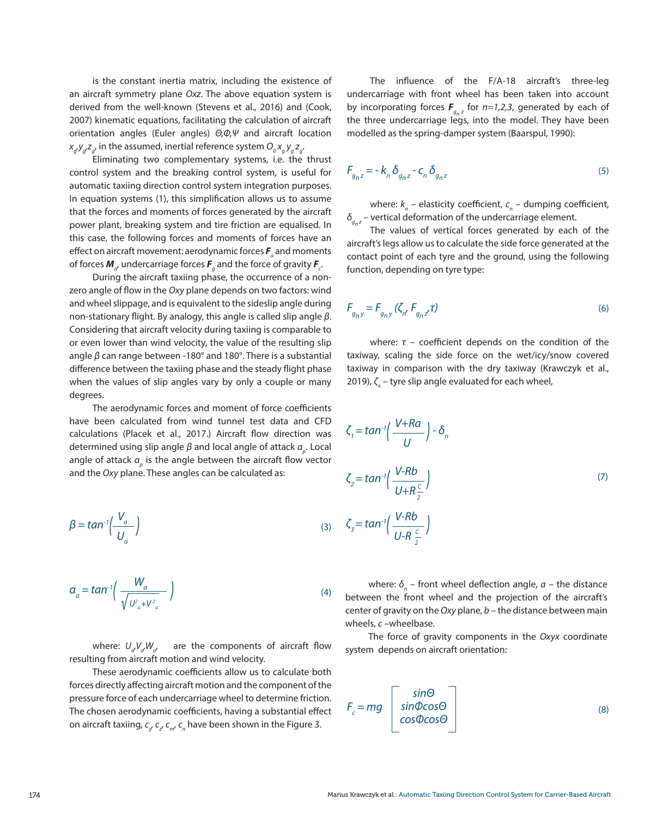is the constant inertia matrix, including the existence of an aircraft symmetry plane *Oxz*. The above equation system is derived from the well-known (Stevens et al., 2016) and (Cook, 2007) kinematic equations, facilitating the calculation of aircraft orientation angles (Euler angles) *Θ,Φ,Ψ* and aircraft location  $\alpha_{g'}y_{g'}z_{g'}$  in the assumed, inertial reference system  $O_o$   $\alpha_{g}$   $\gamma_{g}$   $z_{g}$ .

Eliminating two complementary systems, i.e. the thrust control system and the breaking control system, is useful for automatic taxiing direction control system integration purposes. In equation systems (1), this simplification allows us to assume that the forces and moments of forces generated by the aircraft power plant, breaking system and tire friction are equalised. In this case, the following forces and moments of forces have an effect on aircraft movement: aerodynamic forces *F<sup>a</sup>* and moments of forces  $\textit{M}_{a'}$  undercarriage forces  $\textit{F}_{g}$  and the force of gravity  $\textit{F}_{c'}$ 

During the aircraft taxiing phase, the occurrence of a nonzero angle of flow in the *Oxy* plane depends on two factors: wind and wheel slippage, and is equivalent to the sideslip angle during non-stationary flight. By analogy, this angle is called slip angle *β*. Considering that aircraft velocity during taxiing is comparable to or even lower than wind velocity, the value of the resulting slip angle *β* can range between -180° and 180°. There is a substantial difference between the taxiing phase and the steady flight phase when the values of slip angles vary by only a couple or many degrees.

The aerodynamic forces and moment of force coefficients have been calculated from wind tunnel test data and CFD calculations (Placek et al., 2017.) Aircraft flow direction was determined using slip angle *β* and local angle of attack  $a_{_\rho}$ . Local angle of attack  $a_{_{p}}$  is the angle between the aircraft flow vector and the *Oxy* plane. These angles can be calculated as:

$$
\beta = \tan^{-1}\left(\frac{V_a}{U_a}\right) \tag{3}
$$

$$
\alpha_a = \tan^{-1}\left(\frac{W_a}{\sqrt{U_a^2 + V_a^2}}\right)
$$
 (4)

where:  $U_{a}V_{a}W_{a'}$  are the components of aircraft flow resulting from aircraft motion and wind velocity.

These aerodynamic coefficients allow us to calculate both forces directly affecting aircraft motion and the component of the pressure force of each undercarriage wheel to determine friction. The chosen aerodynamic coefficients, having a substantial effect on aircraft taxiing,  $\mathsf{c}_{\mathsf{y}}$   $\mathsf{c}_{\mathsf{z}'}$   $\mathsf{c}_{\mathsf{m}'}$   $\mathsf{c}_{\mathsf{n}}$  have been shown in the Figure 3.

The influence of the F/A-18 aircraft's three-leg undercarriage with front wheel has been taken into account by incorporating forces  $F_{g_n z}$  for  $n=1,2,3$ , generated by each of the three undercarriage legs, into the model. They have been modelled as the spring-damper system (Baarspul, 1990):

$$
F_{g_{n}z} = -k_{n} \delta_{g_{n}z} - c_{n} \delta_{g_{n}z}
$$
 (5)

where:  $k_{n}$  – elasticity coefficient,  $c_{n}$  – dumping coefficient, *δ<sub>g</sub> z* – vertical deformation of the undercarriage element.

The values of vertical forces generated by each of the aircraft's legs allow us to calculate the side force generated at the contact point of each tyre and the ground, using the following function, depending on tyre type:

$$
F_{g_{n}y} = F_{g_{n}y} (\zeta_{n'} F_{g_{n}z'} \tau)
$$
\n(6)

where: *τ* – coefficient depends on the condition of the taxiway, scaling the side force on the wet/icy/snow covered taxiway in comparison with the dry taxiway (Krawczyk et al., 2019), ζ<sub>n</sub> – tyre slip angle evaluated for each wheel,

$$
\zeta_{1} = \tan^{-1}\left(\frac{V+Ra}{U}\right) - \delta_{n}
$$
\n
$$
\zeta_{2} = \tan^{-1}\left(\frac{V-Rb}{U+R\frac{c}{2}}\right)
$$
\n
$$
\zeta_{3} = \tan^{-1}\left(\frac{V-Rb}{U-R\frac{c}{2}}\right)
$$
\n(7)

where:  $\delta_n$  – front wheel deflection angle,  $a$  – the distance between the front wheel and the projection of the aircraft's center of gravity on the *Oxy* plane, *b* – the distance between main wheels, *c* –wheelbase.

The force of gravity components in the *Oxyx* coordinate system depends on aircraft orientation:

$$
F_c = mg \begin{bmatrix} \sin\Theta \\ \sin\Phi\cos\Theta \\ \cos\Phi\cos\Theta \end{bmatrix}
$$
 (8)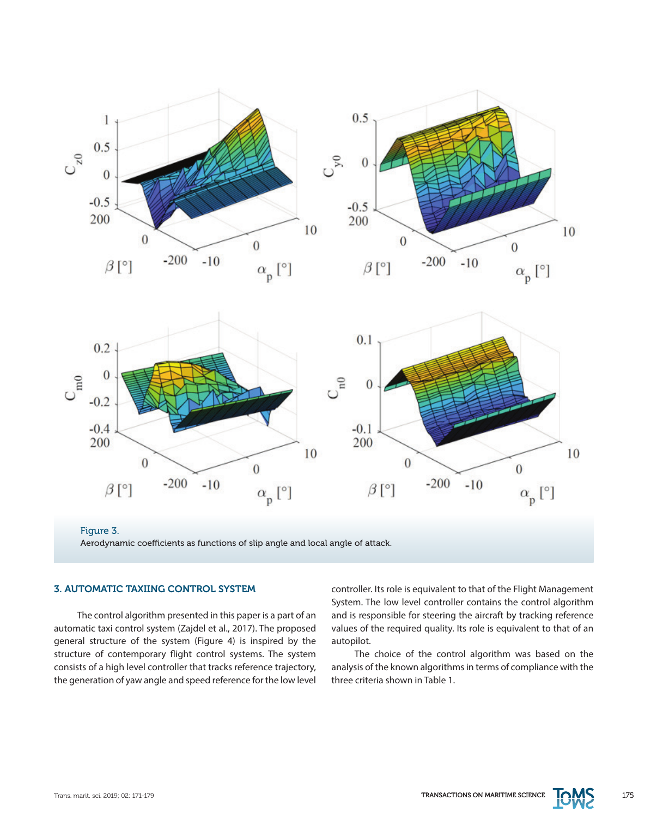

Figure 3. Aerodynamic coefficients as functions of slip angle and local angle of attack.

# 3. AUTOMATIC TAXIING CONTROL SYSTEM

The control algorithm presented in this paper is a part of an automatic taxi control system (Zajdel et al., 2017). The proposed general structure of the system (Figure 4) is inspired by the structure of contemporary flight control systems. The system consists of a high level controller that tracks reference trajectory, the generation of yaw angle and speed reference for the low level controller. Its role is equivalent to that of the Flight Management System. The low level controller contains the control algorithm and is responsible for steering the aircraft by tracking reference values of the required quality. Its role is equivalent to that of an autopilot.

The choice of the control algorithm was based on the analysis of the known algorithms in terms of compliance with the three criteria shown in Table 1.

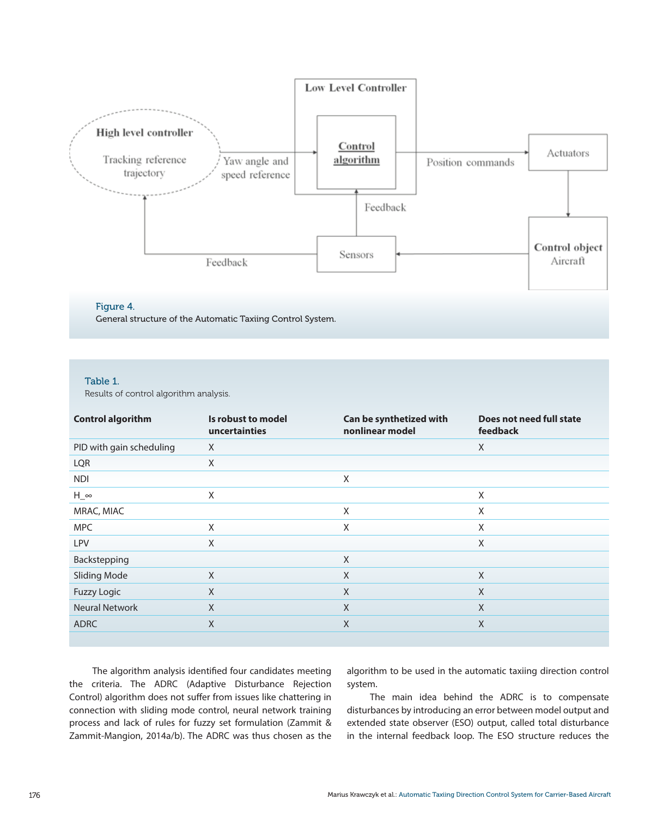

# Figure 4.

General structure of the Automatic Taxiing Control System.

## Table 1.

Results of control algorithm analysis.

| <b>Control algorithm</b> | Is robust to model<br>uncertainties | Can be synthetized with<br>nonlinear model | Does not need full state<br>feedback |
|--------------------------|-------------------------------------|--------------------------------------------|--------------------------------------|
| PID with gain scheduling | X                                   |                                            | X                                    |
| LQR                      | X                                   |                                            |                                      |
| <b>NDI</b>               |                                     | X                                          |                                      |
| $H_{\infty}$             | X                                   |                                            | X                                    |
| MRAC, MIAC               |                                     | X                                          | X                                    |
| <b>MPC</b>               | X                                   | X                                          | X                                    |
| LPV                      | X                                   |                                            | X                                    |
| Backstepping             |                                     | X                                          |                                      |
| <b>Sliding Mode</b>      | $\chi$                              | X                                          | X                                    |
| <b>Fuzzy Logic</b>       | X                                   | X                                          | X                                    |
| <b>Neural Network</b>    | $\times$                            | X                                          | X                                    |
| <b>ADRC</b>              | X                                   | X                                          | X                                    |
|                          |                                     |                                            |                                      |

The algorithm analysis identified four candidates meeting the criteria. The ADRC (Adaptive Disturbance Rejection Control) algorithm does not suffer from issues like chattering in connection with sliding mode control, neural network training process and lack of rules for fuzzy set formulation (Zammit & Zammit-Mangion, 2014a/b). The ADRC was thus chosen as the

algorithm to be used in the automatic taxiing direction control system.

The main idea behind the ADRC is to compensate disturbances by introducing an error between model output and extended state observer (ESO) output, called total disturbance in the internal feedback loop. The ESO structure reduces the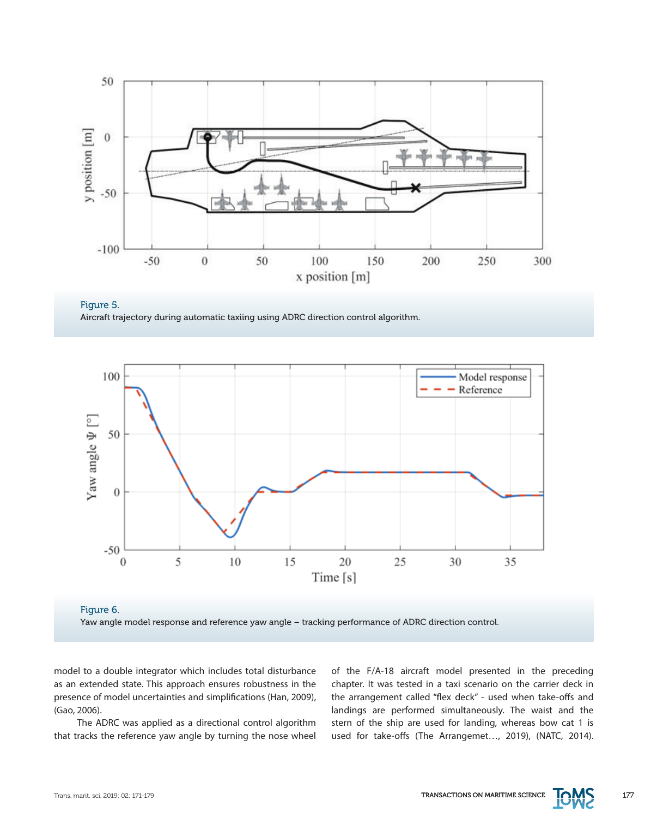







model to a double integrator which includes total disturbance as an extended state. This approach ensures robustness in the presence of model uncertainties and simplifications (Han, 2009), (Gao, 2006).

The ADRC was applied as a directional control algorithm that tracks the reference yaw angle by turning the nose wheel of the F/A-18 aircraft model presented in the preceding chapter. It was tested in a taxi scenario on the carrier deck in the arrangement called "flex deck" - used when take-offs and landings are performed simultaneously. The waist and the stern of the ship are used for landing, whereas bow cat 1 is used for take-offs (The Arrangemet…, 2019), (NATC, 2014).

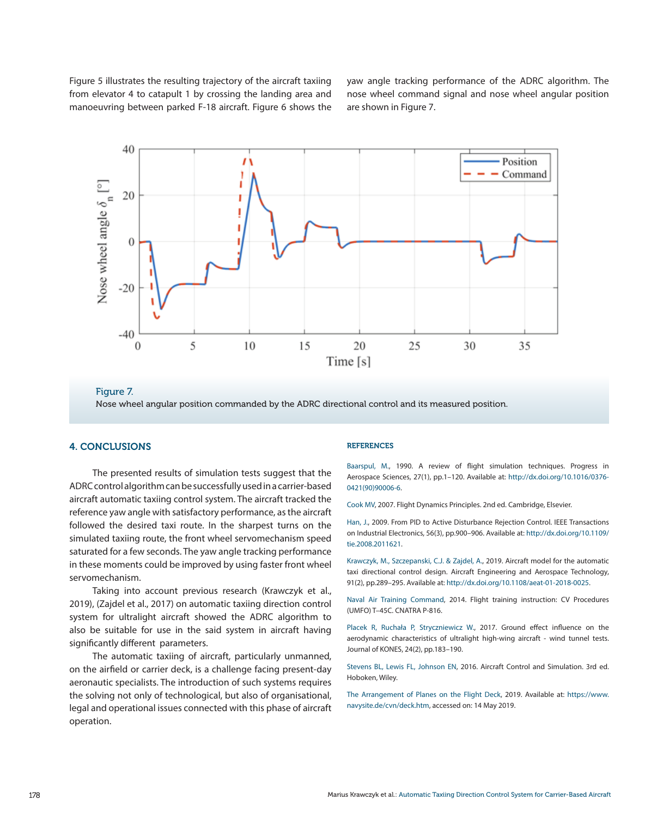Figure 5 illustrates the resulting trajectory of the aircraft taxiing from elevator 4 to catapult 1 by crossing the landing area and manoeuvring between parked F-18 aircraft. Figure 6 shows the yaw angle tracking performance of the ADRC algorithm. The nose wheel command signal and nose wheel angular position are shown in Figure 7.



Figure 7.

Nose wheel angular position commanded by the ADRC directional control and its measured position.

#### 4. CONCLUSIONS

The presented results of simulation tests suggest that the ADRC control algorithm can be successfully used in a carrier-based aircraft automatic taxiing control system. The aircraft tracked the reference yaw angle with satisfactory performance, as the aircraft followed the desired taxi route. In the sharpest turns on the simulated taxiing route, the front wheel servomechanism speed saturated for a few seconds. The yaw angle tracking performance in these moments could be improved by using faster front wheel servomechanism.

Taking into account previous research (Krawczyk et al., 2019), (Zajdel et al., 2017) on automatic taxiing direction control system for ultralight aircraft showed the ADRC algorithm to also be suitable for use in the said system in aircraft having significantly different parameters.

The automatic taxiing of aircraft, particularly unmanned, on the airfield or carrier deck, is a challenge facing present-day aeronautic specialists. The introduction of such systems requires the solving not only of technological, but also of organisational, legal and operational issues connected with this phase of aircraft operation.

#### REFERENCES

Baarspul, M., 1990. A review of flight simulation techniques. Progress in Aerospace Sciences, 27(1), pp.1–120. Available at: [http://dx.doi.org/10.1016/0376-](http://dx.doi.org/10.1016/0376-0421%2890%2990006-6) [0421\(90\)90006-6](http://dx.doi.org/10.1016/0376-0421%2890%2990006-6).

Cook MV, 2007. Flight Dynamics Principles. 2nd ed. Cambridge, Elsevier.

Han, J., 2009. From PID to Active Disturbance Rejection Control. IEEE Transactions on Industrial Electronics, 56(3), pp.900–906. Available at: [http://dx.doi.org/10.1109/](http://dx.doi.org/10.1109/tie.2008.2011621) tie.2008.2011621

Krawczyk, M., Szczepanski, C.J. & Zajdel, A., 2019. Aircraft model for the automatic taxi directional control design. Aircraft Engineering and Aerospace Technology, 91(2), pp.289–295. Available at: <http://dx.doi.org/10.1108/aeat-01-2018-0025>.

Naval Air Training Command, 2014. Flight training instruction: CV Procedures (UMFO) T–45C. CNATRA P-816.

Placek R, Ruchała P, Stryczniewicz W., 2017. Ground effect influence on the aerodynamic characteristics of ultralight high-wing aircraft - wind tunnel tests. Journal of KONES, 24(2), pp.183–190.

Stevens BL, Lewis FL, Johnson EN, 2016. Aircraft Control and Simulation. 3rd ed. Hoboken, Wiley.

The Arrangement of Planes on the Flight Deck, 2019. Available at: [https://www.](https://www.navysite.de/cvn/deck.htm) [navysite.de/cvn/deck.htm,](https://www.navysite.de/cvn/deck.htm) accessed on: 14 May 2019.